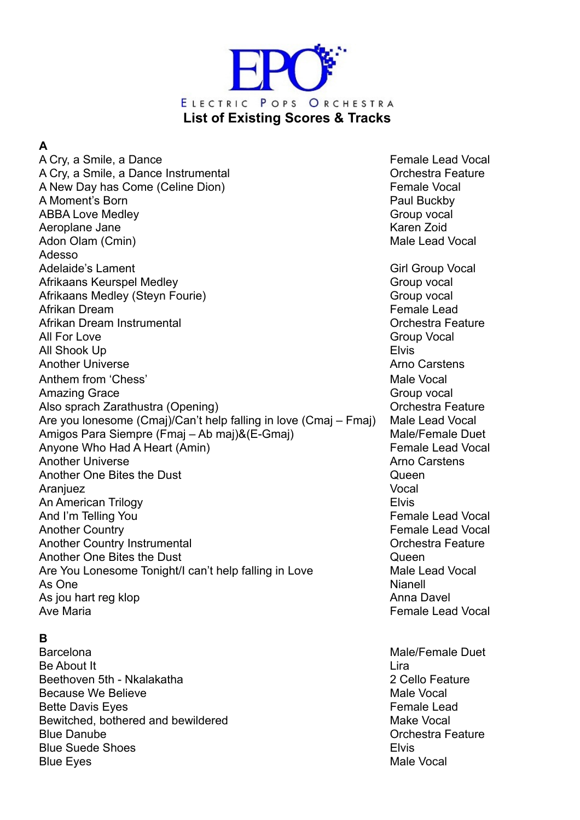

**A** 

A Cry, a Smile, a Dance **Female Lead Vocal** A Cry, a Smile, a Dance Instrumental **A Cry, a Smile, a Dance Instrumental** Orchestra Feature A New Day has Come (Celine Dion) A New Day has Come (Celine Dion) A Moment's Born **Paul Buckby Paul Buckby** ABBA Love Medley Group vocal and the state of the Group vocal control of the Group vocal control of the Group vocal control of the Group vocal control of the Group vocal control of the Group vocal control of the Group voca Aeroplane Jane **Karen Zoid Karen Zoid** Adon Olam (Cmin) and Adon Olam (Cmin) and Adon Olam Control of the Male Lead Vocal Adesso Adelaide's Lament **Adelaide's** Lament Afrikaans Keurspel Medley Group vocal Afrikaans Medley (Steyn Fourie) Group vocal Afrikan Dream Female Lead Afrikan Dream Instrumental **Orchestra Feature** Orchestra Feature All For Love Group Vocal Control of the Group Vocal Control of Group Vocal Control of Group Vocal Control of G All Shook Up **Elvis** Another Universe **Array Armore Armore Armore Armore Armore Armore Carstens** Anthem from 'Chess' National Control of the Male Vocal Control of the Male Vocal Control of the Male Vocal Control of the Male Vocal Control of the Male Vocal Control of the Male Vocal Control of the Male Vocal Control of Amazing Grace Group vocal Also sprach Zarathustra (Opening) Manus Controller Controller Controller Controller Controller Controller Controller Are you lonesome (Cmaj)/Can't help falling in love (Cmaj – Fmaj) Male Lead Vocal Amigos Para Siempre (Fmaj – Ab maj)&(E-Gmaj) Male/Female Duet Anyone Who Had A Heart (Amin) The Control of the Female Lead Vocal Another Universe **Array Armore Armore Armore Armore Armore Carstens** Another One Bites the Dust **Queen** Aranjuez Vocal An American Trilogy **Elvis Elvis** And I'm Telling You **Female Lead Vocal** Another Country **Another Country Country Country Country Country Country Country Country Country Country Country Country Country Country Country Country Country Country Country Country Country Country Country Country Count** Another Country Instrumental **Another Country Instrumental** Contestra Feature Another One Bites the Dust **Container Containers** Queen Are You Lonesome Tonight/I can't help falling in Love Male Lead Vocal As One Nianell and Assembly and Assembly and Assembly and Assembly and Assembly and Assembly and Assembly and A As jou hart reg klop Anna Davel Anna Davel Ave Maria Female Lead Vocal

#### **B**

Barcelona Male/Female Duet **Be About It** Lira Beethoven 5th - Nkalakatha 2 Cello Feature Because We Believe Male Vocal and the Male Vocal of the Male Vocal of the Male Vocal of the Male Vocal of the Male Vocal of the Male Vocal of the Male Vocal of the Male Vocal of the Male Vocal of the Male Vocal of the Male Bette Davis Eyes Female Lead Bewitched, bothered and bewildered Make Vocal Blue Danube **Orchestra Feature Orchestra Feature Orchestra Feature Blue Suede Shoes Elvis** Elvis Blue Eyes Male Vocal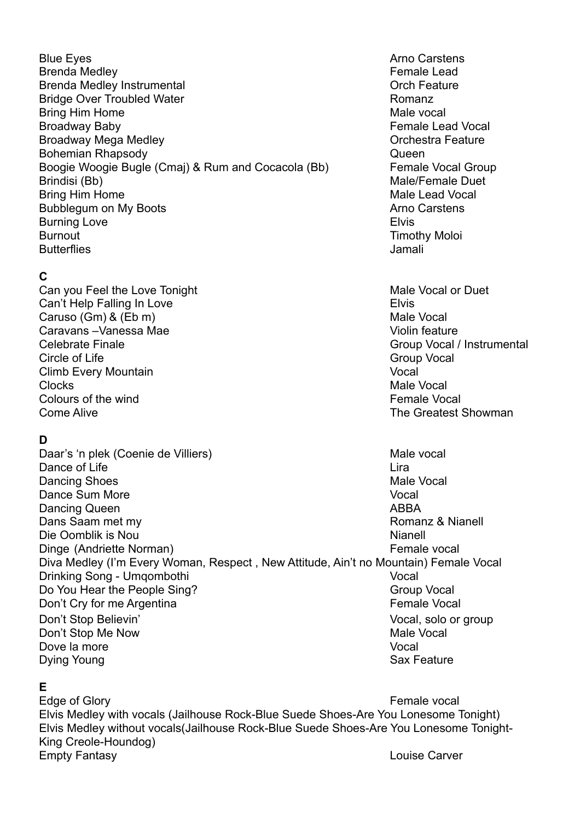Blue Eyes **Arno Carstens Arno Carstens** Brenda Medley **Female** Lead Brenda Medley Instrumental **Brenda Medley Instrumental Orch Feature** Bridge Over Troubled Water **Romanz** Romanz Bring Him Home Male vocal Broadway Baby **Female Lead Vocal** Broadway Mega Medley **Contract Contract Contract Contract Contract Contract Contract Contract Contract Contract Contract Contract Contract Contract Contract Contract Contract Contract Contract Contract Contract Contract Co** Bohemian Rhapsody **Districts CONSIDERENT CONSIDERED ASSOCIATES Queen** Boogie Woogie Bugle (Cmaj) & Rum and Cocacola (Bb) Female Vocal Group Brindisi (Bb) Male/Female Duet Bring Him Home **Male Lead Vocal** Bubblegum on My Boots **Arrival Carstens** Arno Carstens Burning Love **Elvis** Burnout **Timothy Moloi** Butterflies Jamali

## **C**

Can you Feel the Love Tonight Male Vocal or Duet Can't Help Falling In Love **Elvis** Elvis Caruso (Gm) & (Eb m) Male Vocal Caravans –Vanessa Mae Violin feature Celebrate Finale Group Vocal / Instrumental Circle of Life Group Vocal Circle of Life Group Vocal Circle of Life Group Vocal Circle of Life Group Vocal Circle of Life Group Vocal Circle of Life Group Vocal Circle of Life Group Vocal Circle of Life Group Vocal Circle Climb Every Mountain Vocal Clocks Male Vocal Colours of the wind **Female** Vocal control of the wind Female Vocal control of the wind Female Vocal control of the wind of the state of the state of the state of the state of the state of the state of the state of the sta Come Alive The Greatest Showman Come Alive

## **D**

Daar's 'n plek (Coenie de Villiers) Male vocal Dance of Life Light Control of Life Light Control of Life Light Control of Life Light Control of Life Light Control of Life Light Control of Life Light Control of Life Light Control of Life Light Control of Life Light Cont Dancing Shoes **Male Vocal** Dance Sum More **Vocal** Dancing Queen ABBA and the state of the state of the ABBA Dans Saam met my Romanz & Nianell Die Oomblik is Nou Nianell and South Africa and South Africa and Nianell and Nianell and Nianell and Nianell and Nianell and Nianell and Nianell and Nianell and Nianell and Nianell and Nianell and Nianell and Nianell and N Dinge (Andriette Norman) Female vocal Diva Medley (I'm Every Woman, Respect , New Attitude, Ain't no Mountain) Female Vocal Drinking Song - Umqombothi Vocal Do You Hear the People Sing? Group Vocal Don't Cry for me Argentina **Female** Vocal Don't Stop Believin' Nocal, solo or group Don't Stop Me Now **Male Vocal** Dove la more vocal version of the vocal version of the vocal version of the vocal version of  $\sim$ Dying Young Sax Feature

### **E**

Edge of Glory **Female vocal** Elvis Medley with vocals (Jailhouse Rock-Blue Suede Shoes-Are You Lonesome Tonight) Elvis Medley without vocals(Jailhouse Rock-Blue Suede Shoes-Are You Lonesome Tonight-King Creole-Houndog) Empty Fantasy Louise Carver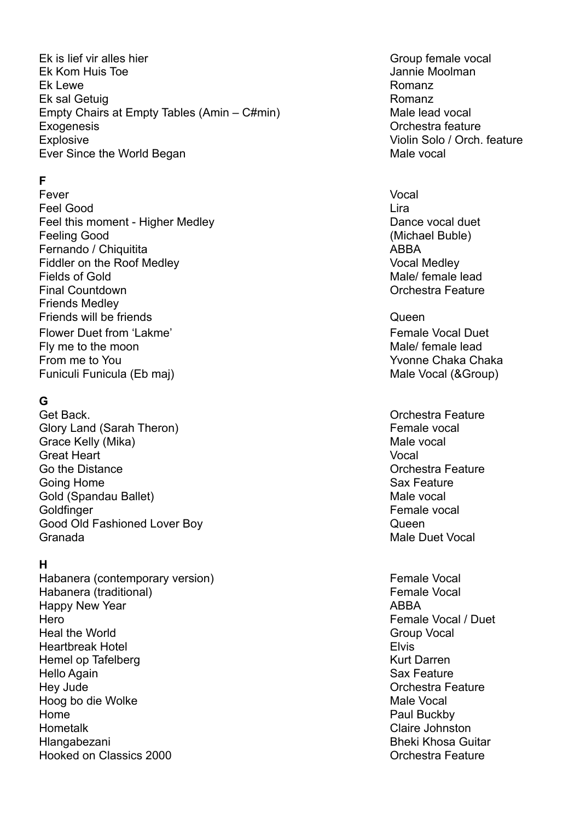Ek is lief vir alles hier Group female vocal Ek Kom Huis Toe Jannie Moolman Ek Lewe **Romanz** Ek sal Getuig Romanz Empty Chairs at Empty Tables (Amin – C#min) Male lead vocal Exogenesis Orchestra feature Explosive Violin Solo / Orch. feature Ever Since the World Began Male vocal

## **F**

Fever Vocal **Feel Good** Lira Feel this moment - Higher Medley Dance vocal duet Feeling Good (Michael Buble) Fernando / Chiquitita ABBA Fiddler on the Roof Medley Vocal Medley Fields of Gold Male/ female lead Final Countdown **Countdown Countdown Orchestra Feature Orchestra Feature** Friends Medley Friends will be friends **COVERTS COVERTS COVERTS COVERTS Queen** Flower Duet from 'Lakme' Flower Duet Female Vocal Duet Fly me to the moon example and the moon method of the material material material material material material material material material material material material material material material material material material materi From me to You **Yumbur You You You You Wome** Chaka Chaka Chaka Chaka Chaka Chaka Chaka Chaka Chaka Chaka Chaka Chaka Chaka Chaka Chaka Chaka Chaka Chaka Chaka Chaka Chaka Chaka Chaka Chaka Chaka Chaka Chaka Chaka Chaka Cha Funiculi Funicula (Eb maj) Male Vocal (&Group)

## **G**

Get Back. Contract of the Contract of the Contract of Contract of Contract of Contract of Contract of Contract of Contract of Contract of Contract of Contract of Contract of Contract of Contract of Contract of Contract of Glory Land (Sarah Theron) **Female** vocal Grace Kelly (Mika) **Male vocal** Male vocal Great Heart Vocal Go the Distance **Go the Distance Contract Contract Contract Contract Contract Contract Contract Contract Contract Contract Contract Contract Contract Contract Contract Contract Contract Contract Contract Contract Contrac** Going Home Sax Feature Gold (Spandau Ballet) Male vocal Goldfinger **Female** vocal Good Old Fashioned Lover Boy **Good Old Fashioned Lover Boy Queen** Granada Male Duet Vocal

### **H**

Habanera (contemporary version) Female Vocal Habanera (traditional) expression of the extension of the Female Vocal Happy New Year **ABBA** Hero Female Vocal / Duet Heal the World Group Vocal **Heartbreak Hotel Elvis Elvis** Hemel op Tafelberg Kurt Darren (Kurt Darren Kurt Darren Kurt Darren Kurt Darren Kurt Darren Kurt Darren (Kurt Darren Kurt Darren Kurt Darren Kurt Darren Kurt Darren Kurt Darren Kurt Darren (Kurt Darren Kurt Darren Kurt Dar Hello Again Sax Feature Hey Jude **Contract Contract Contract Contract Contract Contract Contract Contract Contract Contract Contract Contract Contract Contract Contract Contract Contract Contract Contract Contract Contract Contract Contract Contr** Hoog bo die Wolke Male Vocal in the Male Vocal Male Vocal in the Male Vocal in the Male Vocal in the Male Vocal Home **Paul Buckby Reserves and Security Paul Buckby** Hometalk Claire Johnston Hlangabezani Bheki Khosa Guitar Hooked on Classics 2000 **Contract Contract Contract Contract Contract Contract Contract Contract Contract Contract Contract Contract Contract Contract Contract Contract Contract Contract Contract Contract Contract Contract** 

- 
- 
-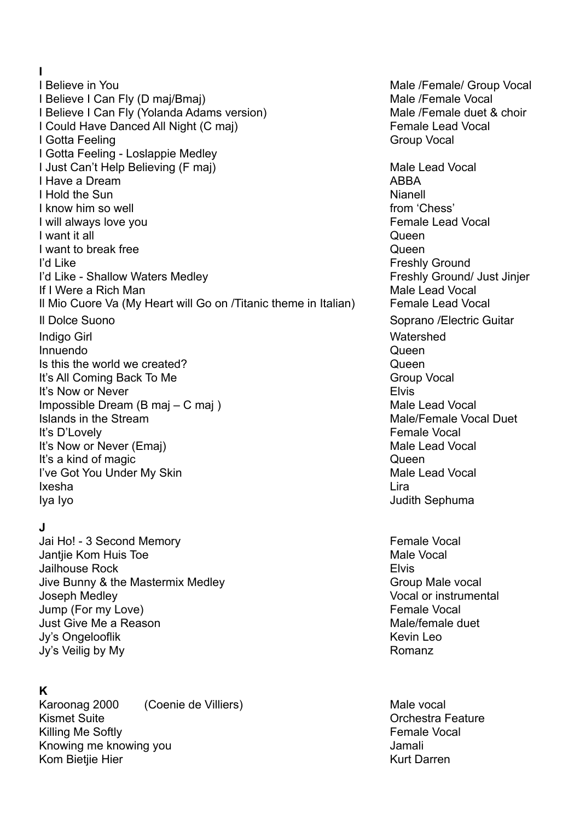**I**  I Believe in You **Male /Female/ Group Vocal** I Believe I Can Fly (D maj/Bmaj) Male /Female Vocal I Believe I Can Fly (Yolanda Adams version) Male /Female duet & choir I Could Have Danced All Night (C maj) Female Lead Vocal **I Gotta Feeling Group Vocal Contract Contract Contract Contract Contract Contract Contract Contract Contract Contract Contract Contract Contract Contract Contract Contract Contract Contract Contract Contract Contract Cont** I Gotta Feeling - Loslappie Medley I Just Can't Help Believing (F maj) Male Lead Vocal I Have a Dream ABBA ABBA ABBA ABBA ARBA ARBA I Hold the Sun Nianell and Nianell and Nianell and Nianell and Nianell and Nianell and Nianell and Nianell and Nianell and Nianell and Nianell and Nianell and Nianell and Nianell and Nianell and Nianell and Nianell and Nia **I know him so well interval from the solution of the set of the set of the set of the set of the set of the set of the set of the set of the set of the set of the set of the set of the set of the set of the set of the s** I will always love you **Female Lead Vocal I** want it all **I** want it all **Queen** I want to break free quality and the control of the Queen quality of  $\alpha$ I'd Like Freshly Ground I'd Like - Shallow Waters Medley **Figure 10** Shallow Waters Medley **Freshly Ground/ Just Jinjer** If I Were a Rich Man Male Lead Vocal And Male Lead Vocal Il Mio Cuore Va (My Heart will Go on /Titanic theme in Italian) Female Lead Vocal Il Dolce Suono Suomen anno 1992 anno 1992 anno 1992 anno 1992 anno 1992 anno 1992 anno 1992 anno 1992 anno 199 Indigo Girl Watershed Innuendo Queen Is this the world we created? Queen It's All Coming Back To Me Group Vocal It's Now or Never **Elvis** Impossible Dream (B maj – C maj ) Male Lead Vocal Islands in the Stream Male/Female Vocal Duet It's D'Lovely **Female Vocal** It's Now or Never (Emaj) Male Lead Vocal It's a kind of magic queen and the contract of the contract of the contract of the contract of the contract of the contract of the contract of the contract of the contract of the contract of the contract of the contract of I've Got You Under My Skin Male Lead Vocal Ixesha **Lira** Iya Iyo Judith Sephuma

## **J**

Jai Ho! - 3 Second Memory **Female** Vocal Jantjie Kom Huis Toe Male Vocal Jailhouse Rock Elvis Jive Bunny & the Mastermix Medley Group Male vocal Joseph Medley Vocal or instrumental Jump (For my Love) and the state of the state of the Second Female Vocal Just Give Me a Reason **Male/female** duet Jy's Ongelooflik Kevin Leo Jy's Veilig by My **Romanz** 

# **K**

Karoonag 2000 (Coenie de Villiers) Male vocal Kismet Suite **Communist Suite Communist Communist Communist Communist Communist Communist Communist Communist Communist Communist Communist Communist Communist Communist Communist Communist Communist Communist Communist Co** Killing Me Softly **Female** Vocal Knowing me knowing you and the state of the state of the state of the state of the state of the state of the state of the state of the state of the state of the state of the state of the state of the state of the state of Kom Bietjie Hier Kurt Darren Kurt Darren Kurt Darren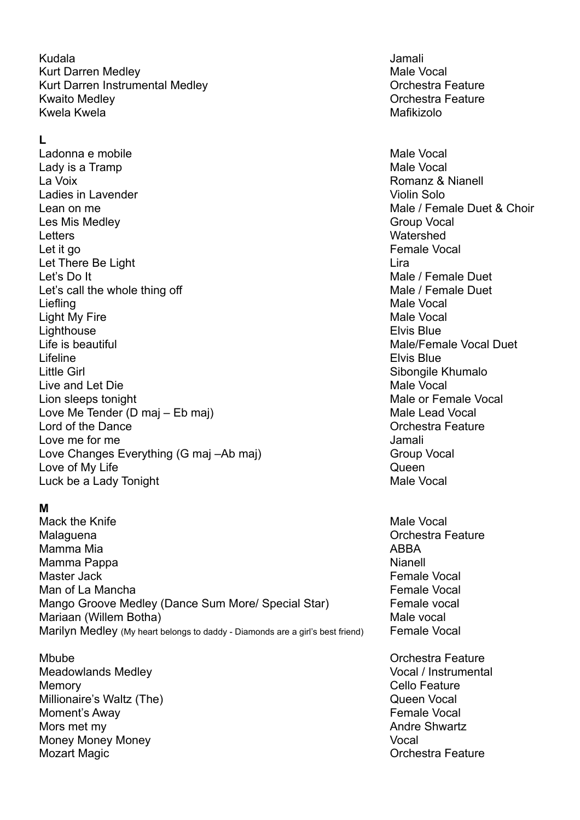Kudala Jamali Kurt Darren Medley **Male Vocal** Male Vocal Kurt Darren Instrumental Medley **National State Contract Contract Contract Contract Contract Contract Contract Contract Contract Contract Contract Contract Contract Contract Contract Contract Contract Contract Contract Con** Kwaito Medley **Network** Channels Channels Channels Channels Channels Channels Channels Channels Channels Channels Channels Channels Channels Channels Channels Channels Channels Channels Channels Channels Channels Channels Kwela Kwela Mafikizolo na kwela Mafikizolo na kutoka mwaka wa 1972, wakati wa 1972, wakati wa 1982, wakati wa

**L** 

Ladonna e mobile Male Vocal de Ladonna e Male Vocal de Male Vocal de Male Vocal de Male Vocal de Male Vocal de Lady is a Tramp **Male Vocal** by the Male Vocal state of the Male Vocal state of the Male Vocal state of the Male Vocal state of the Male Vocal state of the Male Vocal state of the Male Vocal state of the Male Vocal state o La Voix Romanz & Nianell Ladies in Lavender Violin Solo Lean on me **Male / Female Duet & Choir Male / Female Duet & Choir** Les Mis Medley Group Vocal Letters Watershed Let it go **Female** Vocal Let There Be Light Lira Let's Do It Male / Female Duet Let's call the whole thing off Male / Female Duet Liefling Male Vocal Light My Fire Male Vocal Lighthouse Elvis Blue Life is beautiful Male/Female Vocal Duet Lifeline **Elvis Blue** Little Girl Sibongile Khumalo Live and Let Die Male Vocal Lion sleeps tonight Male or Female Vocal Love Me Tender (D maj – Eb maj) Male Lead Vocal Lord of the Dance **Contract Contract Contract Contract Contract Contract Contract Contract Contract Contract Contract Contract Contract Contract Contract Contract Contract Contract Contract Contract Contract Contract Contr** Love me for me Jamali Love Changes Everything (G maj –Ab maj) Group Vocal Love of My Life Queen Luck be a Lady Tonight Male Vocal

### **M**

Mack the Knife Male Vocal with the Male Vocal with the Male Vocal with the Male Vocal with the Male Vocal with the Male Vocal with the Male Vocal with the Male Vocal with the Male Vocal with the Male Vocal with the Male Vo Malaguena **Orchestra Feature Malaguena** Orchestra Feature Mamma Mia alianyika kwa mwaka wa 1972, aliandishi wa 1982, aliandishi wa 1982, aliandishi wa 1982, aliandishi Mamma Pappa Nianell Master Jack **Female Vocal Female Vocal** Man of La Mancha **Female** Vocal Mango Groove Medley (Dance Sum More/ Special Star) Female vocal Mariaan (Willem Botha) Maria and Male vocal Marilyn Medley (My heart belongs to daddy - Diamonds are a girl's best friend) Female Vocal

Mbube Orchestra Feature Meadowlands Medley **Vocal / Instrumental** Memory Cello Feature Millionaire's Waltz (The) **Millionaire's Waltz (The**) **Queen Vocal** Moment's Away **Female** Vocal Mors met my Andre Shwartz Money Money Money Vocal Mozart Magic **Music Contract Contract Contract Contract Contract Contract Contract Contract Contract Contract Contract Contract Contract Contract Contract Contract Contract Contract Contract Contract Contract Contract Cont**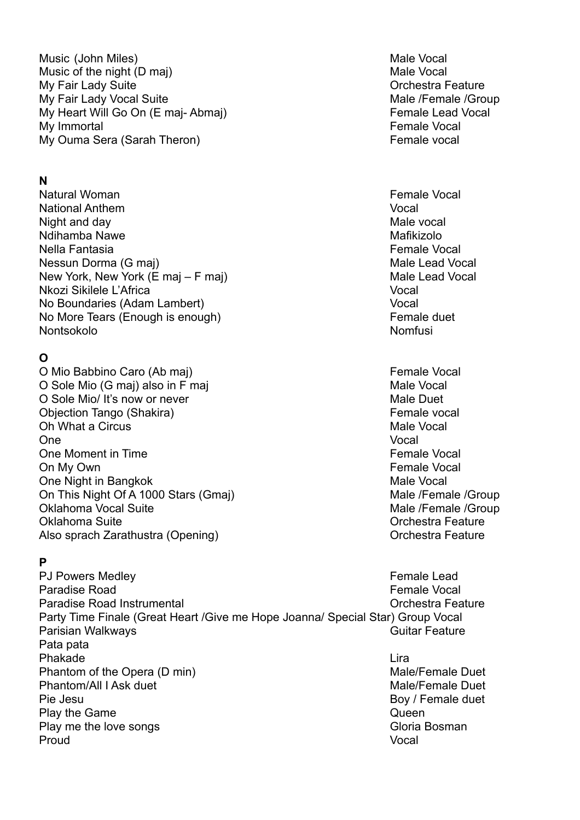Music (John Miles) **Music (John Miles)** Male Vocal Music of the night (D maj) Music of the night (D maj) My Fair Lady Suite **Contract Contract Contract Contract Contract Contract Contract Contract Contract Contract Contract Contract Contract Contract Contract Contract Contract Contract Contract Contract Contract Contract Cont** My Fair Lady Vocal Suite Male /Female /Group My Heart Will Go On (E maj-Abmaj) My Heart Will Go On (E maj-Abmaj) My Immortal **Female Vocal Female Vocal** My Ouma Sera (Sarah Theron) **Female** vocal

### **N**

Natural Woman **Female Vocal** Natural Woman **Female Vocal** Natural Woman **Female** Vocal National Anthem Vocal Night and day **Male vocal** Night and day Ndihamba Nawe **Mafikizolo** Name Mafikizolo Nella Fantasia Female Vocal Nessun Dorma (G maj) and a series of the Male Lead Vocal New York, New York (E maj – F maj) Mew York, New York (E maj – F maj) Nkozi Sikilele L'Africa Vocal No Boundaries (Adam Lambert) Vocal No More Tears (Enough is enough) Female duet Nontsokolo Nomfusi

# **O**

O Mio Babbino Caro (Ab maj) **Female Vocal** Executive Control of Temale Vocal O Sole Mio (G maj) also in F maj Male Vocal Male Vocal O Sole Mio/ It's now or never Male Duet Male Duet Objection Tango (Shakira) **Female** vocal Oh What a Circus **Male Vocal** Male Vocal And Male Vocal And Male Vocal And Male Vocal And Male Vocal And Male Vocal And Male Vocal And Male Vocal And Male Vocal And Male Vocal And Male Vocal And Male Vocal And Male Vocal A One Vocal variable variable variable variable variable variable variable variable variable variable variable v One Moment in Time **Female Vocal** On My Own Female Vocal One Night in Bangkok Male Vocal On This Night Of A 1000 Stars (Gmaj) Male /Female /Group Oklahoma Vocal Suite Male /Female /Group Oklahoma Suite Orchestra Feature Also sprach Zarathustra (Opening) Characteristic Control of Chestra Feature

## **P**

PJ Powers Medley **Female** Lead Paradise Road **Female Vocal Female Vocal Female Vocal** Paradise Road Instrumental **Contract Contract Contract Contract Contract Contract Contract Contract Contract Contract Contract Contract Contract Contract Contract Contract Contract Contract Contract Contract Contract Contr** Party Time Finale (Great Heart /Give me Hope Joanna/ Special Star) Group Vocal Parisian Walkways **Contract Contract Contract Contract Contract Contract Contract Contract Contract Contract Contract Contract Contract Contract Contract Contract Contract Contract Contract Contract Contract Contract Contr** Pata pata Phakade Lira Phantom of the Opera (D min) Male/Female Duet Phantom/All I Ask duet Male/Female Duet Pie Jesu Boy / Female duet Play the Game Queen and the Game Queen Contract of the Contract of the Contract of Contract of Contract of Contract of Contract of Contract of Contract of Contract of Contract of Contract of Contract of Contract of Contrac Play me the love songs Gloria Bosman Control of the United States of Gloria Bosman Proud Vocal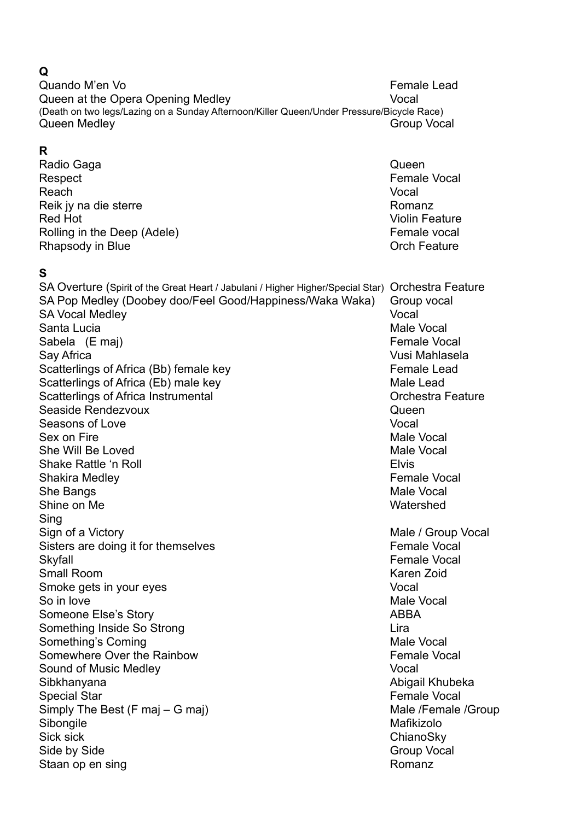#### **Q**

Quando M'en Vo **Female Lead** Queen at the Opera Opening Medley Vocal (Death on two legs/Lazing on a Sunday Afternoon/Killer Queen/Under Pressure/Bicycle Race) Queen Medley Group Vocal

## **R**

Radio Gaga **Queen** Respect **Female** Vocal Reach **Vocal** Reik jy na die sterre Romanz is die sterre Romanz in die sterre Romanz is die sterre Romanz is die sterre Romanz **Red Hot Violin Feature** Rolling in the Deep (Adele) **Female** vocal Rhapsody in Blue **Contract Contract Contract Contract Contract Contract Contract Contract Contract Contract Contract Contract Contract Contract Contract Contract Contract Contract Contract Contract Contract Contract Contra** 

## **S**

SA Overture (Spirit of the Great Heart / Jabulani / Higher Higher/Special Star) Orchestra Feature SA Pop Medley (Doobey doo/Feel Good/Happiness/Waka Waka) Group vocal SA Vocal Medley Vocal Vocal Santa Lucia Male Vocal Sabela (E maj) **Female Vocal** Sabela (E maj) Say Africa Vusi Mahlasela Scatterlings of Africa (Bb) female key Female Lead Scatterlings of Africa (Eb) male key Male Lead Scatterlings of Africa Instrumental Controllerings of Africa Instrumental Controllerings of Africa Instrumental Seaside Rendezvoux and a seaside Rendezvoux and a seaside Rendezvoux and a seaside Rendezvoux Seasons of Love Vocal values of  $\sim$  Vocal values of  $\sim$  Vocal values of  $\sim$  Vocal values of  $\sim$  Vocal values of  $\sim$  Vocal values of  $\sim$  Vocal values of  $\sim$  Vocal values of  $\sim$  Vocal values of  $\sim$  Vocal values of Sex on Fire Male Vocal She Will Be Loved **Male Vocal** Male Vocal Assessment and Male Vocal Assessment and Male Vocal Shake Rattle 'n Roll Elvis Shakira Medley **Female** Vocal She Bangs Male Vocal Shine on Me Watershed Sing Sign of a Victory **Male / Group Vocal** Sign of a Victory **Male / Group Vocal** Sisters are doing it for themselves Female Vocal Skyfall **Skyfall** Female Vocal Small Room Karen Zoid Smoke gets in your eyes van die verskappeling van die voorlog van die voorlog van die verskappeling van die v So in love **Male Vocal** So in love **Male Vocal** So in love **Male Vocal** So in love Someone Else's Story **ABBA** Something Inside So Strong Lira Something's Coming Male Vocal Communication of the Male Vocal Communication of the Male Vocal Communication of the Male Vocal Communication of the Male Vocal Communication of the Male Vocal Communication of the Male Vocal Somewhere Over the Rainbow **Female Vocal** Sound of Music Medley Vocal Sibkhanyana **Abigail Khubeka** Abigail Khubeka Abigail Khubeka Abigail Khubeka Abigail Khubeka Abigail Khubeka Abigail Khubeka Abigail Khubeka Abigail Khubeka Abigail Khubeka Abigail Khubeka Abigail Khubeka Abigail Khubeka Special Star Female Vocal Simply The Best (F maj – G maj) Male /Female /Group Sibongile Mafikizolo Sick sick ChianoSky Side by Side Group Vocal Staan op en sing and a staat of the Romanz Romanz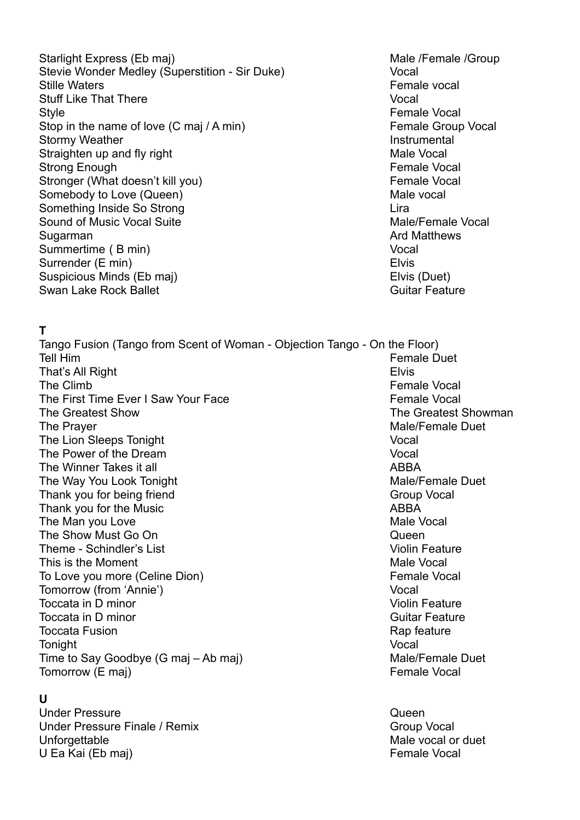Starlight Express (Eb maj) Male /Female /Group Stevie Wonder Medley (Superstition - Sir Duke) Vocal Stille Waters **Female vocal** Stuff Like That There Vocal Style **Style Style Female Vocal** Stop in the name of love (C maj / A min) Female Group Vocal Stormy Weather **Instrumental** Straighten up and fly right Male Vocal Strong Enough Female Vocal Stronger (What doesn't kill you) Female Vocal Somebody to Love (Queen) Somebody to Love (Queen) and the vocal Something Inside So Strong Lira Sound of Music Vocal Suite Male/Female Vocal Sugarman **Argument Community** Sugarman Ard Matthews Summertime ( B min) Vocal Surrender (E min) Elvis Suspicious Minds (Eb maj) Elvis (Duet) Swan Lake Rock Ballet Guitar Feature

### **T**

Tango Fusion (Tango from Scent of Woman - Objection Tango - On the Floor) Tell Him **Female Duet Tell Him Female Duet** That's All Right Elvis The Climb **Female** Vocal The First Time Ever I Saw Your Face The South Control of Female Vocal The Greatest Show The Greatest Showman The Prayer Male/Female Duet The Lion Sleeps Tonight Vocal The Power of the Dream Vocal The Winner Takes it all ABBA and ABBA The Way You Look Tonight Male/Female Duet Thank you for being friend Group Vocal Thank you for the Music **ABBA** The Man you Love **Male Vocal** The Show Must Go On **Queen** and Control of the Show Must Go On Queen Theme - Schindler's List Violin Feature Violin Feature This is the Moment New York and Services and Male Vocal To Love you more (Celine Dion) To Love you more (Celine Dion) Tomorrow (from 'Annie') Vocal Toccata in D minor **Violin Feature** Toccata in D minor **Toccata in D minor** Guitar Feature Toccata Fusion **Rap feature Rap feature Rap feature** Tonight **Vocal** Time to Say Goodbye (G maj – Ab maj) Male/Female Duet Tomorrow (E maj) **Female** Vocal

### **U**

Under Pressure **Queen** Under Pressure Finale / Remix Group Vocal Unforgettable Male vocal or duet U Ea Kai (Eb maj) **Female Vocal**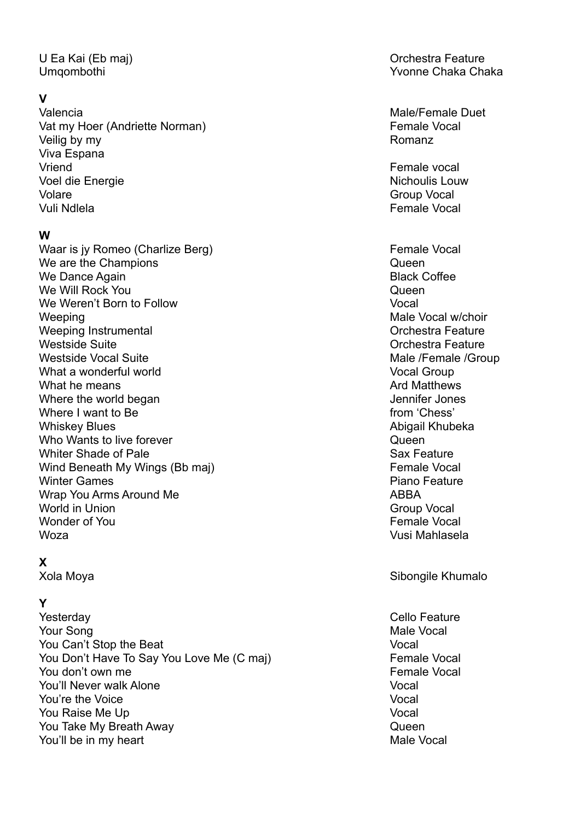## **V**

Valencia de la contrata de la contrata de la contrata de Male/Female Duet Vat my Hoer (Andriette Norman) Female Vocal Veilig by my Romanz Viva Espana Vriend Female vocal Voel die Energie Nichoulis Louw Volare Group Vocal and Control of the Group Vocal and Control of the Group Vocal and Control of the Group Vocal Vuli Ndlela Female Vocal

### **W**

Waar is jy Romeo (Charlize Berg) Female Vocal We are the Champions and the Champions of the Champions of the Champions of the Champions of the Champions of the Champions of the Champions of the Champions of the Champions of the Champions of the Champions of the Champi We Dance Again **Black Coffee** We Will Rock You **Queen** We Weren't Born to Follow Vocal Weeping Male Vocal w/choir Weeping Instrumental **Weeping Instrumental** Westside Suite **Orchestra Feature** Orchestra Feature Westside Vocal Suite Male /Female /Group What a wonderful world **Vocal Group** Vocal Group What he means **Arithmetic Structure and Matthews** Ard Matthews Where the world began vertex of the world began vertex of the state of the state of the state of the state of the state of the state of the state of the state of the state of the state of the state of the state of the stat Where I want to Be from 'Chess' Whiskey Blues **Abigail Khubeka** Abigail Khubeka Abigail Khubeka Abigail Khubeka Abigail Khubeka Abigail Khubeka Who Wants to live forever  $\sim$  Queen Whiter Shade of Pale Sax Feature Shade of Pale Sax Feature Sax Feature Wind Beneath My Wings (Bb maj) Female Vocal Winter Games **Piano Feature** Piano Feature Wrap You Arms Around Me ABBA World in Union Group Vocal Wonder of You **Female Vocal** Woza Vusi Mahlasela

## **X**

## **Y**

Yesterday Cello Feature Your Song Male Vocal Accounts and the Male Vocal Male Vocal Male Vocal You Can't Stop the Beat Vocal You Don't Have To Say You Love Me (C maj) Female Vocal You don't own me **Female** Vocal You'll Never walk Alone Vocal **You're the Voice** Vocal version of the Vocal version of the Vocal version of the Vocal version of the Vocal version of the Vocal version of the Vocal version of the Vocal version of the Vocal version of the Vocal version **You Raise Me Up Vocal Account Account Account Account Account Account Account Account Vocal Vocal** You Take My Breath Away **CAU CONTROVING THE CONTROL** You'll be in my heart Male Vocal Structure of the Male Vocal Male Vocal

U Ea Kai (Eb maj) **U Ea Kai (Eb maj)** Qrehestra Feature Umqombothi Yvonne Chaka Chaka

Xola Moya **Sibongile Khumalo**